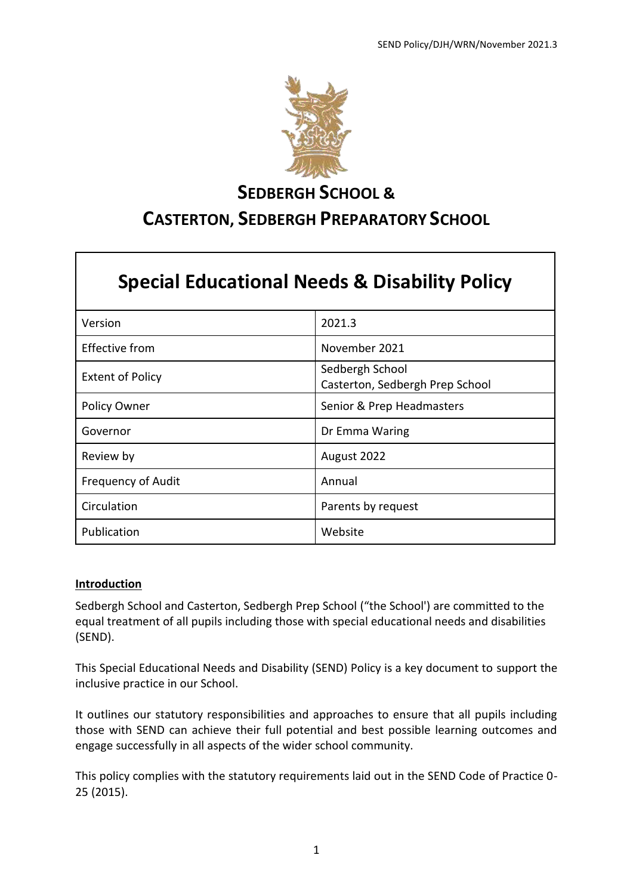

# **SEDBERGH SCHOOL &**

# **CASTERTON, SEDBERGH PREPARATORY SCHOOL**

# **Special Educational Needs & Disability Policy**

| Version                   | 2021.3                                             |
|---------------------------|----------------------------------------------------|
| <b>Effective from</b>     | November 2021                                      |
| <b>Extent of Policy</b>   | Sedbergh School<br>Casterton, Sedbergh Prep School |
| Policy Owner              | Senior & Prep Headmasters                          |
| Governor                  | Dr Emma Waring                                     |
| Review by                 | August 2022                                        |
| <b>Frequency of Audit</b> | Annual                                             |
| Circulation               | Parents by request                                 |
| Publication               | Website                                            |

# **Introduction**

Sedbergh School and Casterton, Sedbergh Prep School ("the School') are committed to the equal treatment of all pupils including those with special educational needs and disabilities (SEND).

This Special Educational Needs and Disability (SEND) Policy is a key document to support the inclusive practice in our School.

It outlines our statutory responsibilities and approaches to ensure that all pupils including those with SEND can achieve their full potential and best possible learning outcomes and engage successfully in all aspects of the wider school community.

This policy complies with the statutory requirements laid out in the SEND Code of Practice 0- 25 (2015).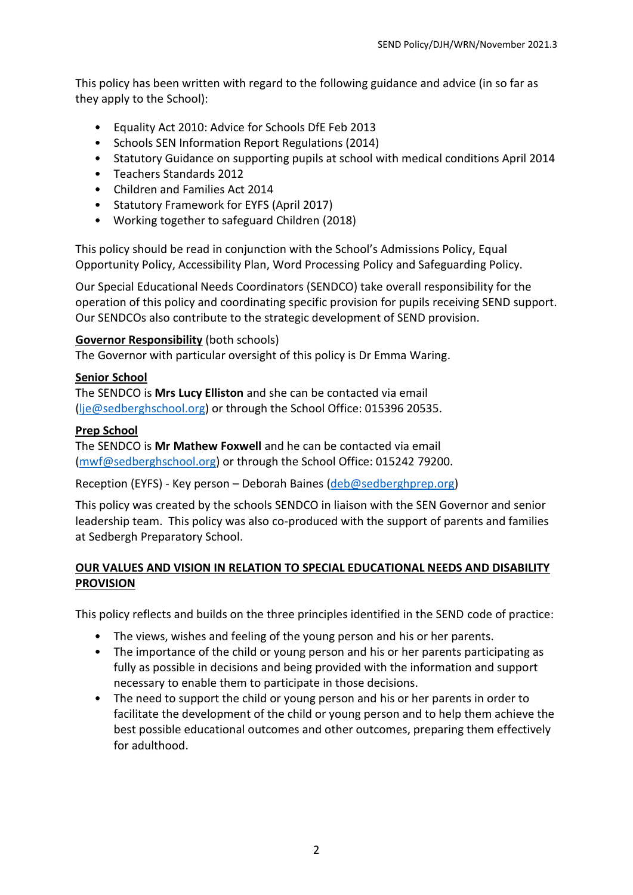This policy has been written with regard to the following guidance and advice (in so far as they apply to the School):

- Equality Act 2010: Advice for Schools DfE Feb 2013
- Schools SEN Information Report Regulations (2014)
- Statutory Guidance on supporting pupils at school with medical conditions April 2014
- Teachers Standards 2012
- Children and Families Act 2014
- Statutory Framework for EYFS (April 2017)
- Working together to safeguard Children (2018)

This policy should be read in conjunction with the School's Admissions Policy, Equal Opportunity Policy, Accessibility Plan, Word Processing Policy and Safeguarding Policy.

Our Special Educational Needs Coordinators (SENDCO) take overall responsibility for the operation of this policy and coordinating specific provision for pupils receiving SEND support. Our SENDCOs also contribute to the strategic development of SEND provision.

# **Governor Responsibility** (both schools)

The Governor with particular oversight of this policy is Dr Emma Waring.

#### **Senior School**

The SENDCO is **Mrs Lucy Elliston** and she can be contacted via email [\(lje@sedberghschool.org\)](mailto:lje@sedberghschool.org) or through the School Office: 015396 20535.

#### **Prep School**

The SENDCO is **Mr Mathew Foxwell** and he can be contacted via email [\(mwf@sedberghschool.org\)](mailto:mwf@sedberghschool.org) or through the School Office: 015242 79200.

Reception (EYFS) - Key person – Deborah Baines [\(deb@sedberghprep.org\)](mailto:deb@sedberghprep.org)

This policy was created by the schools SENDCO in liaison with the SEN Governor and senior leadership team. This policy was also co-produced with the support of parents and families at Sedbergh Preparatory School.

# **OUR VALUES AND VISION IN RELATION TO SPECIAL EDUCATIONAL NEEDS AND DISABILITY PROVISION**

This policy reflects and builds on the three principles identified in the SEND code of practice:

- The views, wishes and feeling of the young person and his or her parents.
- The importance of the child or young person and his or her parents participating as fully as possible in decisions and being provided with the information and support necessary to enable them to participate in those decisions.
- The need to support the child or young person and his or her parents in order to facilitate the development of the child or young person and to help them achieve the best possible educational outcomes and other outcomes, preparing them effectively for adulthood.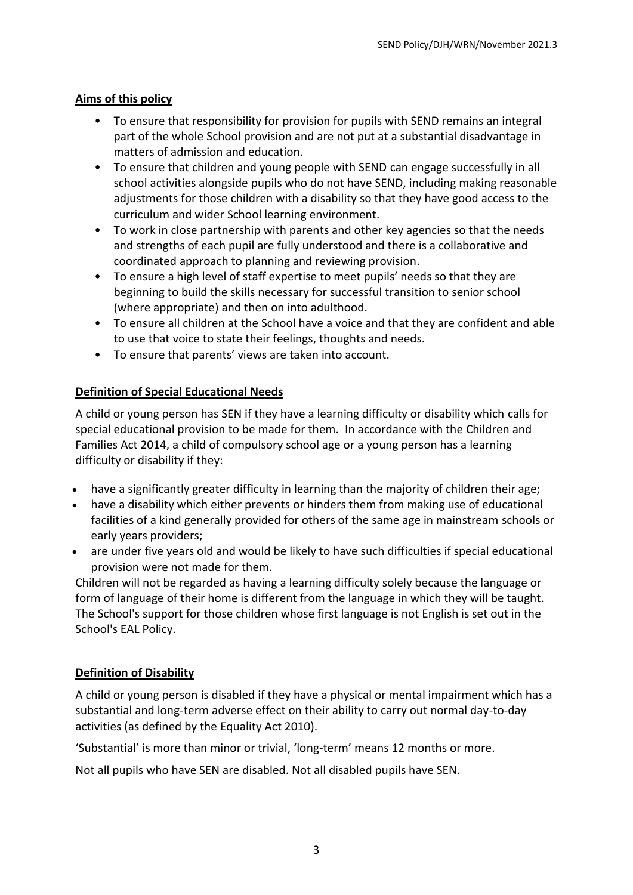# **Aims of this policy**

- To ensure that responsibility for provision for pupils with SEND remains an integral part of the whole School provision and are not put at a substantial disadvantage in matters of admission and education.
- To ensure that children and young people with SEND can engage successfully in all school activities alongside pupils who do not have SEND, including making reasonable adjustments for those children with a disability so that they have good access to the curriculum and wider School learning environment.
- To work in close partnership with parents and other key agencies so that the needs and strengths of each pupil are fully understood and there is a collaborative and coordinated approach to planning and reviewing provision.
- To ensure a high level of staff expertise to meet pupils' needs so that they are beginning to build the skills necessary for successful transition to senior school (where appropriate) and then on into adulthood.
- To ensure all children at the School have a voice and that they are confident and able to use that voice to state their feelings, thoughts and needs.
- To ensure that parents' views are taken into account.

# **Definition of Special Educational Needs**

A child or young person has SEN if they have a learning difficulty or disability which calls for special educational provision to be made for them. In accordance with the Children and Families Act 2014, a child of compulsory school age or a young person has a learning difficulty or disability if they:

- have a significantly greater difficulty in learning than the majority of children their age;
- have a disability which either prevents or hinders them from making use of educational facilities of a kind generally provided for others of the same age in mainstream schools or early years providers;
- are under five years old and would be likely to have such difficulties if special educational provision were not made for them.

Children will not be regarded as having a learning difficulty solely because the language or form of language of their home is different from the language in which they will be taught. The School's support for those children whose first language is not English is set out in the School's EAL Policy.

# **Definition of Disability**

A child or young person is disabled if they have a physical or mental impairment which has a substantial and long-term adverse effect on their ability to carry out normal day-to-day activities (as defined by the Equality Act 2010).

'Substantial' is more than minor or trivial, 'long-term' means 12 months or more.

Not all pupils who have SEN are disabled. Not all disabled pupils have SEN.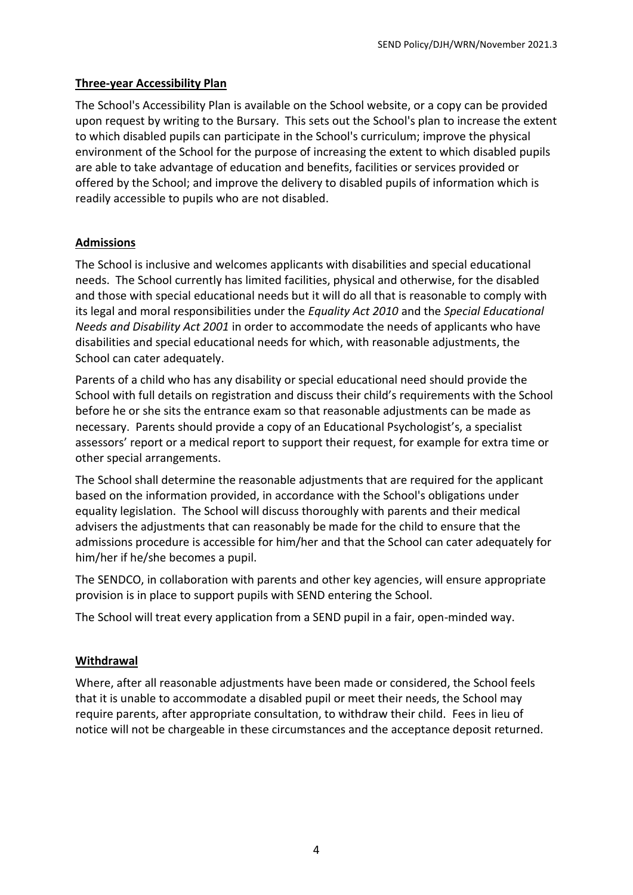#### **Three-year Accessibility Plan**

The School's Accessibility Plan is available on the School website, or a copy can be provided upon request by writing to the Bursary. This sets out the School's plan to increase the extent to which disabled pupils can participate in the School's curriculum; improve the physical environment of the School for the purpose of increasing the extent to which disabled pupils are able to take advantage of education and benefits, facilities or services provided or offered by the School; and improve the delivery to disabled pupils of information which is readily accessible to pupils who are not disabled.

# **Admissions**

The School is inclusive and welcomes applicants with disabilities and special educational needs. The School currently has limited facilities, physical and otherwise, for the disabled and those with special educational needs but it will do all that is reasonable to comply with its legal and moral responsibilities under the *Equality Act 2010* and the *Special Educational Needs and Disability Act 2001* in order to accommodate the needs of applicants who have disabilities and special educational needs for which, with reasonable adjustments, the School can cater adequately.

Parents of a child who has any disability or special educational need should provide the School with full details on registration and discuss their child's requirements with the School before he or she sits the entrance exam so that reasonable adjustments can be made as necessary. Parents should provide a copy of an Educational Psychologist's, a specialist assessors' report or a medical report to support their request, for example for extra time or other special arrangements.

The School shall determine the reasonable adjustments that are required for the applicant based on the information provided, in accordance with the School's obligations under equality legislation. The School will discuss thoroughly with parents and their medical advisers the adjustments that can reasonably be made for the child to ensure that the admissions procedure is accessible for him/her and that the School can cater adequately for him/her if he/she becomes a pupil.

The SENDCO, in collaboration with parents and other key agencies, will ensure appropriate provision is in place to support pupils with SEND entering the School.

The School will treat every application from a SEND pupil in a fair, open-minded way.

#### **Withdrawal**

Where, after all reasonable adjustments have been made or considered, the School feels that it is unable to accommodate a disabled pupil or meet their needs, the School may require parents, after appropriate consultation, to withdraw their child. Fees in lieu of notice will not be chargeable in these circumstances and the acceptance deposit returned.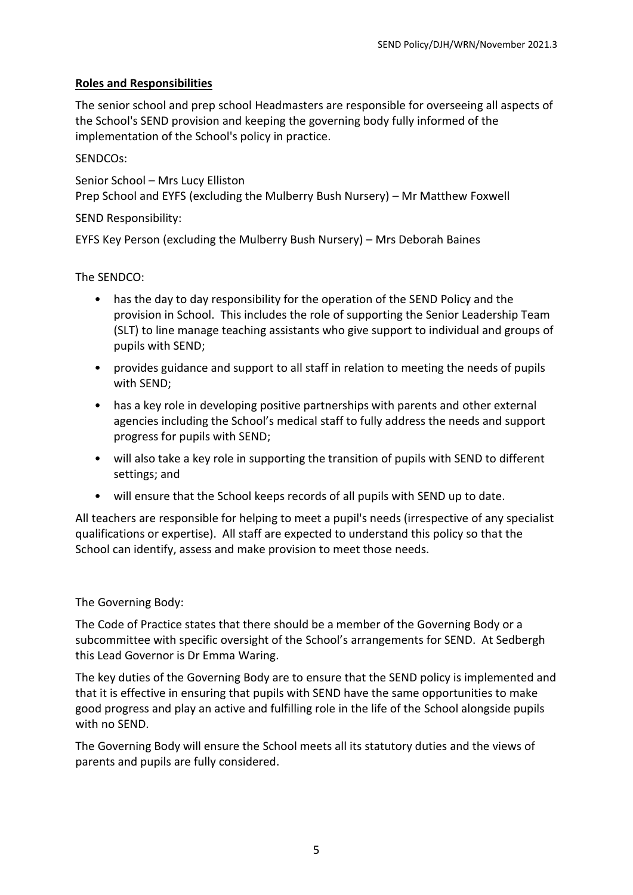# **Roles and Responsibilities**

The senior school and prep school Headmasters are responsible for overseeing all aspects of the School's SEND provision and keeping the governing body fully informed of the implementation of the School's policy in practice.

# SENDCOs:

Senior School – Mrs Lucy Elliston Prep School and EYFS (excluding the Mulberry Bush Nursery) – Mr Matthew Foxwell

# SEND Responsibility:

EYFS Key Person (excluding the Mulberry Bush Nursery) – Mrs Deborah Baines

The SENDCO:

- has the day to day responsibility for the operation of the SEND Policy and the provision in School. This includes the role of supporting the Senior Leadership Team (SLT) to line manage teaching assistants who give support to individual and groups of pupils with SEND;
- provides guidance and support to all staff in relation to meeting the needs of pupils with SEND;
- has a key role in developing positive partnerships with parents and other external agencies including the School's medical staff to fully address the needs and support progress for pupils with SEND;
- will also take a key role in supporting the transition of pupils with SEND to different settings; and
- will ensure that the School keeps records of all pupils with SEND up to date.

All teachers are responsible for helping to meet a pupil's needs (irrespective of any specialist qualifications or expertise). All staff are expected to understand this policy so that the School can identify, assess and make provision to meet those needs.

# The Governing Body:

The Code of Practice states that there should be a member of the Governing Body or a subcommittee with specific oversight of the School's arrangements for SEND. At Sedbergh this Lead Governor is Dr Emma Waring.

The key duties of the Governing Body are to ensure that the SEND policy is implemented and that it is effective in ensuring that pupils with SEND have the same opportunities to make good progress and play an active and fulfilling role in the life of the School alongside pupils with no SEND.

The Governing Body will ensure the School meets all its statutory duties and the views of parents and pupils are fully considered.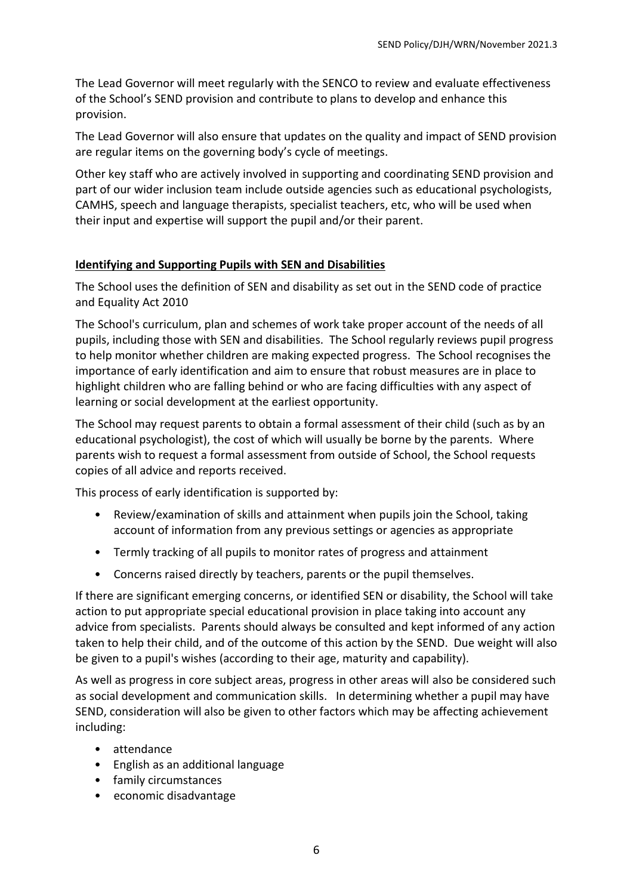The Lead Governor will meet regularly with the SENCO to review and evaluate effectiveness of the School's SEND provision and contribute to plans to develop and enhance this provision.

The Lead Governor will also ensure that updates on the quality and impact of SEND provision are regular items on the governing body's cycle of meetings.

Other key staff who are actively involved in supporting and coordinating SEND provision and part of our wider inclusion team include outside agencies such as educational psychologists, CAMHS, speech and language therapists, specialist teachers, etc, who will be used when their input and expertise will support the pupil and/or their parent.

#### **Identifying and Supporting Pupils with SEN and Disabilities**

The School uses the definition of SEN and disability as set out in the SEND code of practice and Equality Act 2010

The School's curriculum, plan and schemes of work take proper account of the needs of all pupils, including those with SEN and disabilities. The School regularly reviews pupil progress to help monitor whether children are making expected progress. The School recognises the importance of early identification and aim to ensure that robust measures are in place to highlight children who are falling behind or who are facing difficulties with any aspect of learning or social development at the earliest opportunity.

The School may request parents to obtain a formal assessment of their child (such as by an educational psychologist), the cost of which will usually be borne by the parents. Where parents wish to request a formal assessment from outside of School, the School requests copies of all advice and reports received.

This process of early identification is supported by:

- Review/examination of skills and attainment when pupils join the School, taking account of information from any previous settings or agencies as appropriate
- Termly tracking of all pupils to monitor rates of progress and attainment
- Concerns raised directly by teachers, parents or the pupil themselves.

If there are significant emerging concerns, or identified SEN or disability, the School will take action to put appropriate special educational provision in place taking into account any advice from specialists. Parents should always be consulted and kept informed of any action taken to help their child, and of the outcome of this action by the SEND. Due weight will also be given to a pupil's wishes (according to their age, maturity and capability).

As well as progress in core subject areas, progress in other areas will also be considered such as social development and communication skills. In determining whether a pupil may have SEND, consideration will also be given to other factors which may be affecting achievement including:

- attendance
- English as an additional language
- family circumstances
- economic disadvantage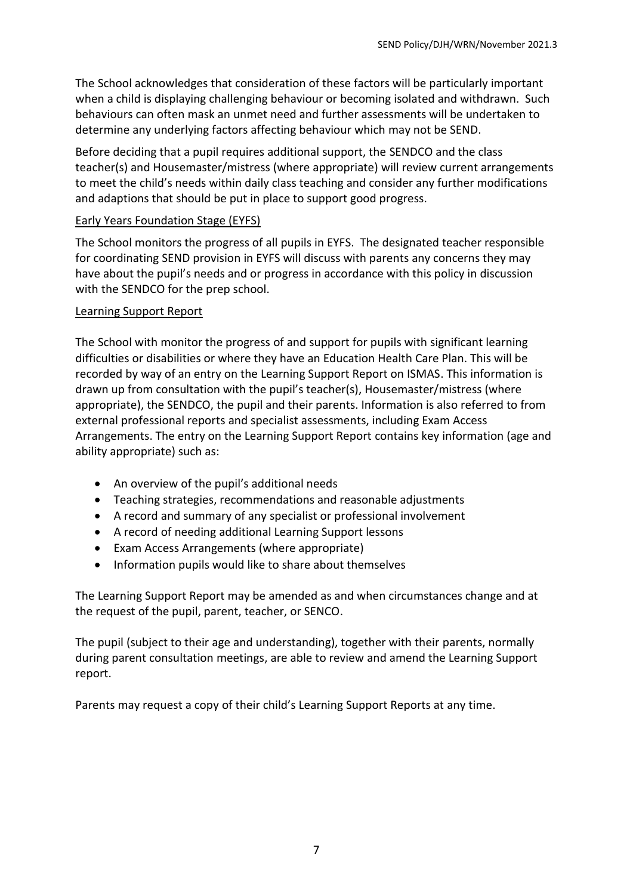The School acknowledges that consideration of these factors will be particularly important when a child is displaying challenging behaviour or becoming isolated and withdrawn. Such behaviours can often mask an unmet need and further assessments will be undertaken to determine any underlying factors affecting behaviour which may not be SEND.

Before deciding that a pupil requires additional support, the SENDCO and the class teacher(s) and Housemaster/mistress (where appropriate) will review current arrangements to meet the child's needs within daily class teaching and consider any further modifications and adaptions that should be put in place to support good progress.

#### Early Years Foundation Stage (EYFS)

The School monitors the progress of all pupils in EYFS. The designated teacher responsible for coordinating SEND provision in EYFS will discuss with parents any concerns they may have about the pupil's needs and or progress in accordance with this policy in discussion with the SENDCO for the prep school.

#### Learning Support Report

The School with monitor the progress of and support for pupils with significant learning difficulties or disabilities or where they have an Education Health Care Plan. This will be recorded by way of an entry on the Learning Support Report on ISMAS. This information is drawn up from consultation with the pupil's teacher(s), Housemaster/mistress (where appropriate), the SENDCO, the pupil and their parents. Information is also referred to from external professional reports and specialist assessments, including Exam Access Arrangements. The entry on the Learning Support Report contains key information (age and ability appropriate) such as:

- An overview of the pupil's additional needs
- Teaching strategies, recommendations and reasonable adjustments
- A record and summary of any specialist or professional involvement
- A record of needing additional Learning Support lessons
- Exam Access Arrangements (where appropriate)
- Information pupils would like to share about themselves

The Learning Support Report may be amended as and when circumstances change and at the request of the pupil, parent, teacher, or SENCO.

The pupil (subject to their age and understanding), together with their parents, normally during parent consultation meetings, are able to review and amend the Learning Support report.

Parents may request a copy of their child's Learning Support Reports at any time.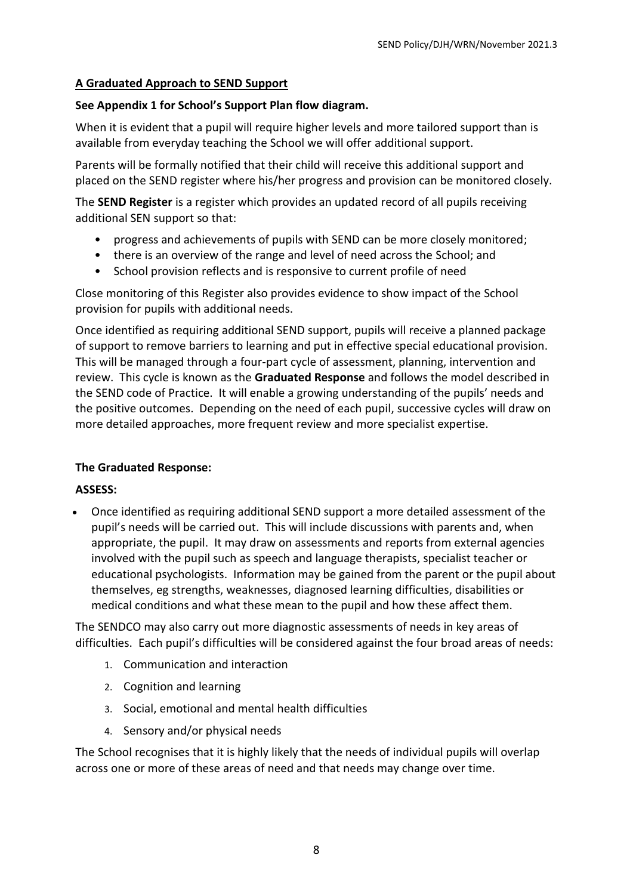#### **A Graduated Approach to SEND Support**

#### **See Appendix 1 for School's Support Plan flow diagram.**

When it is evident that a pupil will require higher levels and more tailored support than is available from everyday teaching the School we will offer additional support.

Parents will be formally notified that their child will receive this additional support and placed on the SEND register where his/her progress and provision can be monitored closely.

The **SEND Register** is a register which provides an updated record of all pupils receiving additional SEN support so that:

- progress and achievements of pupils with SEND can be more closely monitored;
- there is an overview of the range and level of need across the School; and
- School provision reflects and is responsive to current profile of need

Close monitoring of this Register also provides evidence to show impact of the School provision for pupils with additional needs.

Once identified as requiring additional SEND support, pupils will receive a planned package of support to remove barriers to learning and put in effective special educational provision. This will be managed through a four-part cycle of assessment, planning, intervention and review. This cycle is known as the **Graduated Response** and follows the model described in the SEND code of Practice. It will enable a growing understanding of the pupils' needs and the positive outcomes. Depending on the need of each pupil, successive cycles will draw on more detailed approaches, more frequent review and more specialist expertise.

# **The Graduated Response:**

#### **ASSESS:**

• Once identified as requiring additional SEND support a more detailed assessment of the pupil's needs will be carried out. This will include discussions with parents and, when appropriate, the pupil. It may draw on assessments and reports from external agencies involved with the pupil such as speech and language therapists, specialist teacher or educational psychologists. Information may be gained from the parent or the pupil about themselves, eg strengths, weaknesses, diagnosed learning difficulties, disabilities or medical conditions and what these mean to the pupil and how these affect them.

The SENDCO may also carry out more diagnostic assessments of needs in key areas of difficulties. Each pupil's difficulties will be considered against the four broad areas of needs:

- 1. Communication and interaction
- 2. Cognition and learning
- 3. Social, emotional and mental health difficulties
- 4. Sensory and/or physical needs

The School recognises that it is highly likely that the needs of individual pupils will overlap across one or more of these areas of need and that needs may change over time.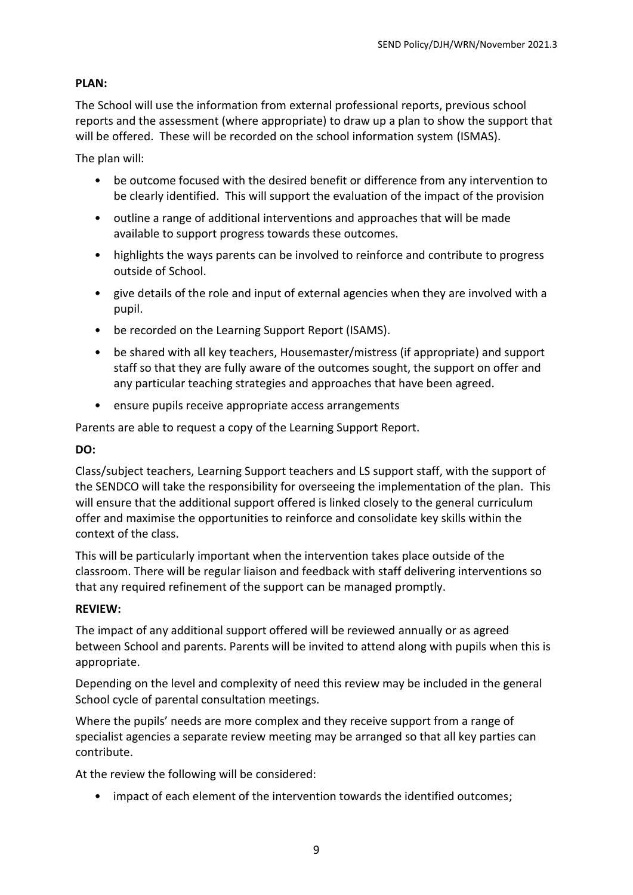# **PLAN:**

The School will use the information from external professional reports, previous school reports and the assessment (where appropriate) to draw up a plan to show the support that will be offered. These will be recorded on the school information system (ISMAS).

The plan will:

- be outcome focused with the desired benefit or difference from any intervention to be clearly identified. This will support the evaluation of the impact of the provision
- outline a range of additional interventions and approaches that will be made available to support progress towards these outcomes.
- highlights the ways parents can be involved to reinforce and contribute to progress outside of School.
- give details of the role and input of external agencies when they are involved with a pupil.
- be recorded on the Learning Support Report (ISAMS).
- be shared with all key teachers, Housemaster/mistress (if appropriate) and support staff so that they are fully aware of the outcomes sought, the support on offer and any particular teaching strategies and approaches that have been agreed.
- ensure pupils receive appropriate access arrangements

Parents are able to request a copy of the Learning Support Report.

#### **DO:**

Class/subject teachers, Learning Support teachers and LS support staff, with the support of the SENDCO will take the responsibility for overseeing the implementation of the plan. This will ensure that the additional support offered is linked closely to the general curriculum offer and maximise the opportunities to reinforce and consolidate key skills within the context of the class.

This will be particularly important when the intervention takes place outside of the classroom. There will be regular liaison and feedback with staff delivering interventions so that any required refinement of the support can be managed promptly.

#### **REVIEW:**

The impact of any additional support offered will be reviewed annually or as agreed between School and parents. Parents will be invited to attend along with pupils when this is appropriate.

Depending on the level and complexity of need this review may be included in the general School cycle of parental consultation meetings.

Where the pupils' needs are more complex and they receive support from a range of specialist agencies a separate review meeting may be arranged so that all key parties can contribute.

At the review the following will be considered:

• impact of each element of the intervention towards the identified outcomes;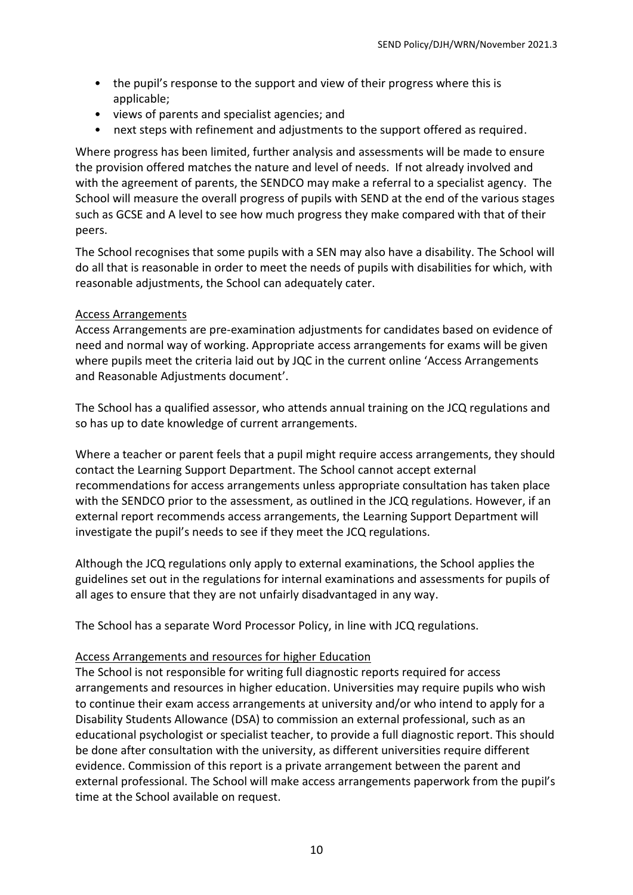- the pupil's response to the support and view of their progress where this is applicable;
- views of parents and specialist agencies; and
- next steps with refinement and adjustments to the support offered as required.

Where progress has been limited, further analysis and assessments will be made to ensure the provision offered matches the nature and level of needs. If not already involved and with the agreement of parents, the SENDCO may make a referral to a specialist agency. The School will measure the overall progress of pupils with SEND at the end of the various stages such as GCSE and A level to see how much progress they make compared with that of their peers.

The School recognises that some pupils with a SEN may also have a disability. The School will do all that is reasonable in order to meet the needs of pupils with disabilities for which, with reasonable adjustments, the School can adequately cater.

#### Access Arrangements

Access Arrangements are pre-examination adjustments for candidates based on evidence of need and normal way of working. Appropriate access arrangements for exams will be given where pupils meet the criteria laid out by JQC in the current online 'Access Arrangements and Reasonable Adjustments document'.

The School has a qualified assessor, who attends annual training on the JCQ regulations and so has up to date knowledge of current arrangements.

Where a teacher or parent feels that a pupil might require access arrangements, they should contact the Learning Support Department. The School cannot accept external recommendations for access arrangements unless appropriate consultation has taken place with the SENDCO prior to the assessment, as outlined in the JCQ regulations. However, if an external report recommends access arrangements, the Learning Support Department will investigate the pupil's needs to see if they meet the JCQ regulations.

Although the JCQ regulations only apply to external examinations, the School applies the guidelines set out in the regulations for internal examinations and assessments for pupils of all ages to ensure that they are not unfairly disadvantaged in any way.

The School has a separate Word Processor Policy, in line with JCQ regulations.

#### Access Arrangements and resources for higher Education

The School is not responsible for writing full diagnostic reports required for access arrangements and resources in higher education. Universities may require pupils who wish to continue their exam access arrangements at university and/or who intend to apply for a Disability Students Allowance (DSA) to commission an external professional, such as an educational psychologist or specialist teacher, to provide a full diagnostic report. This should be done after consultation with the university, as different universities require different evidence. Commission of this report is a private arrangement between the parent and external professional. The School will make access arrangements paperwork from the pupil's time at the School available on request.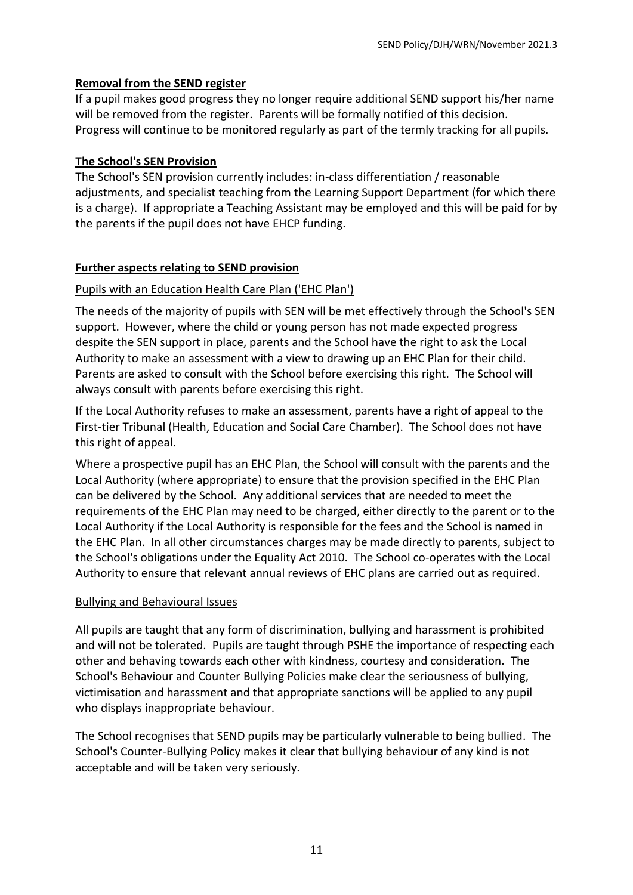#### **Removal from the SEND register**

If a pupil makes good progress they no longer require additional SEND support his/her name will be removed from the register. Parents will be formally notified of this decision. Progress will continue to be monitored regularly as part of the termly tracking for all pupils.

#### **The School's SEN Provision**

The School's SEN provision currently includes: in-class differentiation / reasonable adjustments, and specialist teaching from the Learning Support Department (for which there is a charge). If appropriate a Teaching Assistant may be employed and this will be paid for by the parents if the pupil does not have EHCP funding.

#### **Further aspects relating to SEND provision**

#### Pupils with an Education Health Care Plan ('EHC Plan')

The needs of the majority of pupils with SEN will be met effectively through the School's SEN support. However, where the child or young person has not made expected progress despite the SEN support in place, parents and the School have the right to ask the Local Authority to make an assessment with a view to drawing up an EHC Plan for their child. Parents are asked to consult with the School before exercising this right. The School will always consult with parents before exercising this right.

If the Local Authority refuses to make an assessment, parents have a right of appeal to the First-tier Tribunal (Health, Education and Social Care Chamber). The School does not have this right of appeal.

Where a prospective pupil has an EHC Plan, the School will consult with the parents and the Local Authority (where appropriate) to ensure that the provision specified in the EHC Plan can be delivered by the School. Any additional services that are needed to meet the requirements of the EHC Plan may need to be charged, either directly to the parent or to the Local Authority if the Local Authority is responsible for the fees and the School is named in the EHC Plan. In all other circumstances charges may be made directly to parents, subject to the School's obligations under the Equality Act 2010. The School co-operates with the Local Authority to ensure that relevant annual reviews of EHC plans are carried out as required.

#### Bullying and Behavioural Issues

All pupils are taught that any form of discrimination, bullying and harassment is prohibited and will not be tolerated. Pupils are taught through PSHE the importance of respecting each other and behaving towards each other with kindness, courtesy and consideration. The School's Behaviour and Counter Bullying Policies make clear the seriousness of bullying, victimisation and harassment and that appropriate sanctions will be applied to any pupil who displays inappropriate behaviour.

The School recognises that SEND pupils may be particularly vulnerable to being bullied. The School's Counter-Bullying Policy makes it clear that bullying behaviour of any kind is not acceptable and will be taken very seriously.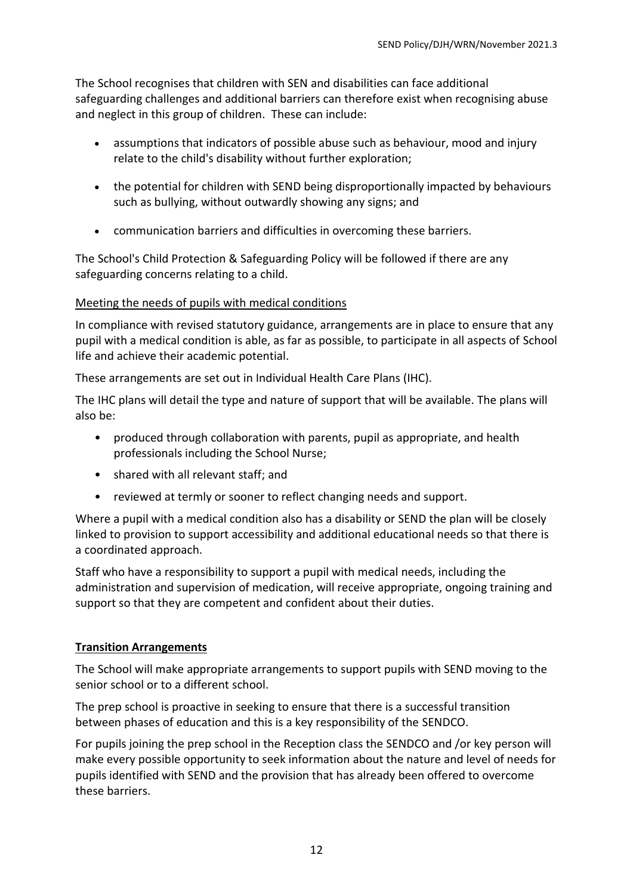The School recognises that children with SEN and disabilities can face additional safeguarding challenges and additional barriers can therefore exist when recognising abuse and neglect in this group of children. These can include:

- assumptions that indicators of possible abuse such as behaviour, mood and injury relate to the child's disability without further exploration;
- the potential for children with SEND being disproportionally impacted by behaviours such as bullying, without outwardly showing any signs; and
- communication barriers and difficulties in overcoming these barriers.

The School's Child Protection & Safeguarding Policy will be followed if there are any safeguarding concerns relating to a child.

# Meeting the needs of pupils with medical conditions

In compliance with revised statutory guidance, arrangements are in place to ensure that any pupil with a medical condition is able, as far as possible, to participate in all aspects of School life and achieve their academic potential.

These arrangements are set out in Individual Health Care Plans (IHC).

The IHC plans will detail the type and nature of support that will be available. The plans will also be:

- produced through collaboration with parents, pupil as appropriate, and health professionals including the School Nurse;
- shared with all relevant staff; and
- reviewed at termly or sooner to reflect changing needs and support.

Where a pupil with a medical condition also has a disability or SEND the plan will be closely linked to provision to support accessibility and additional educational needs so that there is a coordinated approach.

Staff who have a responsibility to support a pupil with medical needs, including the administration and supervision of medication, will receive appropriate, ongoing training and support so that they are competent and confident about their duties.

# **Transition Arrangements**

The School will make appropriate arrangements to support pupils with SEND moving to the senior school or to a different school.

The prep school is proactive in seeking to ensure that there is a successful transition between phases of education and this is a key responsibility of the SENDCO.

For pupils joining the prep school in the Reception class the SENDCO and /or key person will make every possible opportunity to seek information about the nature and level of needs for pupils identified with SEND and the provision that has already been offered to overcome these barriers.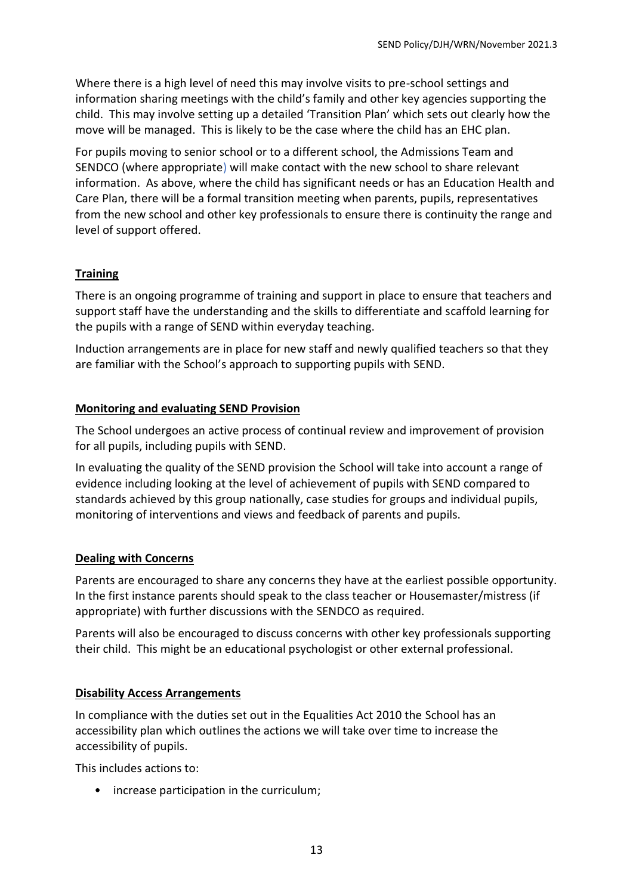Where there is a high level of need this may involve visits to pre-school settings and information sharing meetings with the child's family and other key agencies supporting the child. This may involve setting up a detailed 'Transition Plan' which sets out clearly how the move will be managed. This is likely to be the case where the child has an EHC plan.

For pupils moving to senior school or to a different school, the Admissions Team and SENDCO (where appropriate) will make contact with the new school to share relevant information. As above, where the child has significant needs or has an Education Health and Care Plan, there will be a formal transition meeting when parents, pupils, representatives from the new school and other key professionals to ensure there is continuity the range and level of support offered.

#### **Training**

There is an ongoing programme of training and support in place to ensure that teachers and support staff have the understanding and the skills to differentiate and scaffold learning for the pupils with a range of SEND within everyday teaching.

Induction arrangements are in place for new staff and newly qualified teachers so that they are familiar with the School's approach to supporting pupils with SEND.

#### **Monitoring and evaluating SEND Provision**

The School undergoes an active process of continual review and improvement of provision for all pupils, including pupils with SEND.

In evaluating the quality of the SEND provision the School will take into account a range of evidence including looking at the level of achievement of pupils with SEND compared to standards achieved by this group nationally, case studies for groups and individual pupils, monitoring of interventions and views and feedback of parents and pupils.

# **Dealing with Concerns**

Parents are encouraged to share any concerns they have at the earliest possible opportunity. In the first instance parents should speak to the class teacher or Housemaster/mistress (if appropriate) with further discussions with the SENDCO as required.

Parents will also be encouraged to discuss concerns with other key professionals supporting their child. This might be an educational psychologist or other external professional.

# **Disability Access Arrangements**

In compliance with the duties set out in the Equalities Act 2010 the School has an accessibility plan which outlines the actions we will take over time to increase the accessibility of pupils.

This includes actions to:

• increase participation in the curriculum;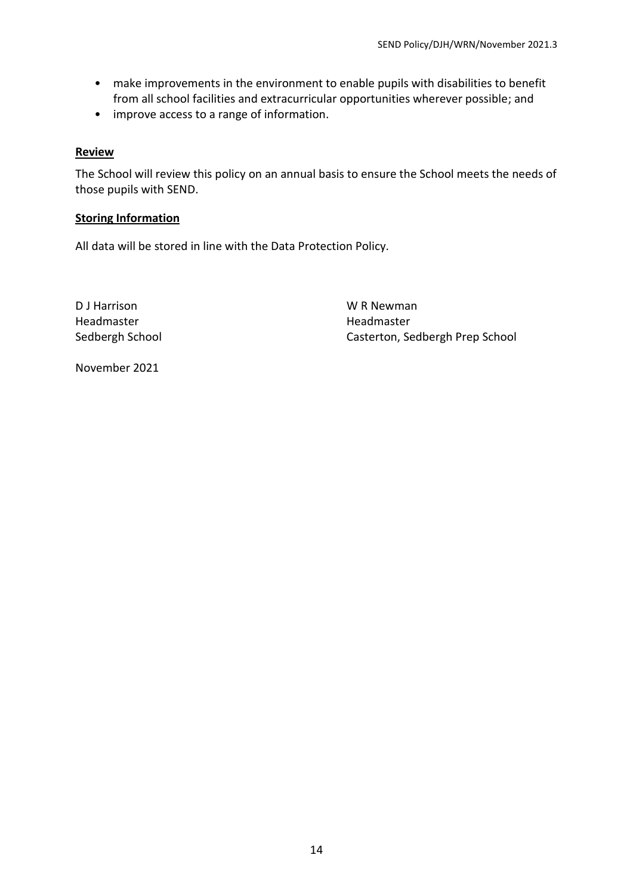- make improvements in the environment to enable pupils with disabilities to benefit from all school facilities and extracurricular opportunities wherever possible; and
- improve access to a range of information.

#### **Review**

The School will review this policy on an annual basis to ensure the School meets the needs of those pupils with SEND.

#### **Storing Information**

All data will be stored in line with the Data Protection Policy.

D J Harrison WR Newman Headmaster Headmaster

Sedbergh School Casterton, Sedbergh Prep School

November 2021